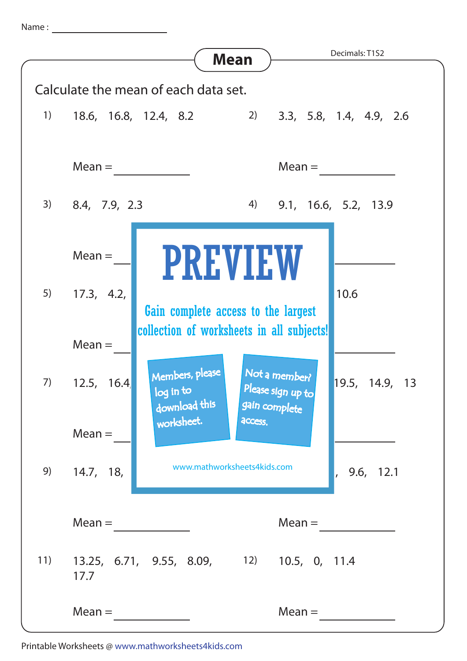Name :